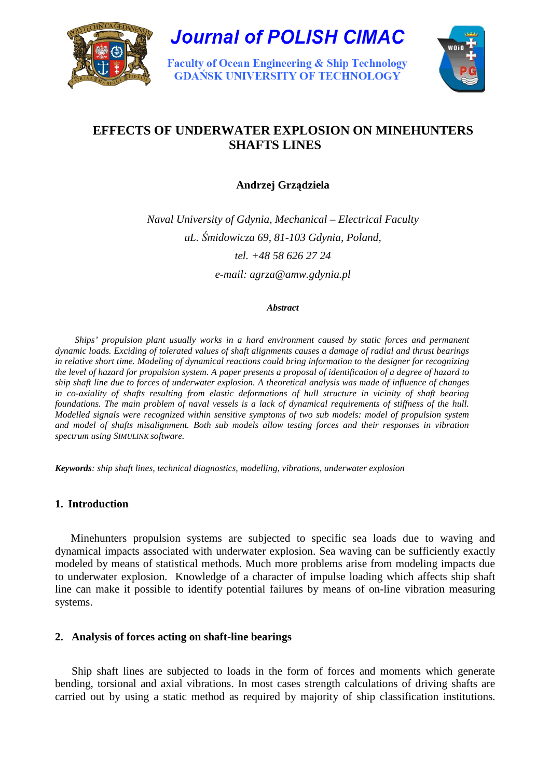

**Journal of POLISH CIMAC** 

**Faculty of Ocean Engineering & Ship Technology GDAŃSK UNIVERSITY OF TECHNOLOGY** 



# **EFFECTS OF UNDERWATER EXPLOSION ON MINEHUNTERS SHAFTS LINES**

**Andrzej Grz**ą**dziela** 

*Naval University of Gdynia, Mechanical – Electrical Faculty uL.* Ś*midowicza 69, 81-103 Gdynia, Poland, tel. +48 58 626 27 24* 

*e-mail: agrza@amw.gdynia.pl* 

#### *Abstract*

*Ships' propulsion plant usually works in a hard environment caused by static forces and permanent dynamic loads. Exciding of tolerated values of shaft alignments causes a damage of radial and thrust bearings in relative short time. Modeling of dynamical reactions could bring information to the designer for recognizing the level of hazard for propulsion system. A paper presents a proposal of identification of a degree of hazard to ship shaft line due to forces of underwater explosion. A theoretical analysis was made of influence of changes in co-axiality of shafts resulting from elastic deformations of hull structure in vicinity of shaft bearing foundations. The main problem of naval vessels is a lack of dynamical requirements of stiffness of the hull. Modelled signals were recognized within sensitive symptoms of two sub models: model of propulsion system and model of shafts misalignment. Both sub models allow testing forces and their responses in vibration spectrum using SIMULINK software.* 

*Keywords: ship shaft lines, technical diagnostics, modelling, vibrations, underwater explosion* 

# **1. Introduction**

Minehunters propulsion systems are subjected to specific sea loads due to waving and dynamical impacts associated with underwater explosion. Sea waving can be sufficiently exactly modeled by means of statistical methods. Much more problems arise from modeling impacts due to underwater explosion. Knowledge of a character of impulse loading which affects ship shaft line can make it possible to identify potential failures by means of on-line vibration measuring systems.

## **2. Analysis of forces acting on shaft-line bearings**

Ship shaft lines are subjected to loads in the form of forces and moments which generate bending, torsional and axial vibrations. In most cases strength calculations of driving shafts are carried out by using a static method as required by majority of ship classification institutions.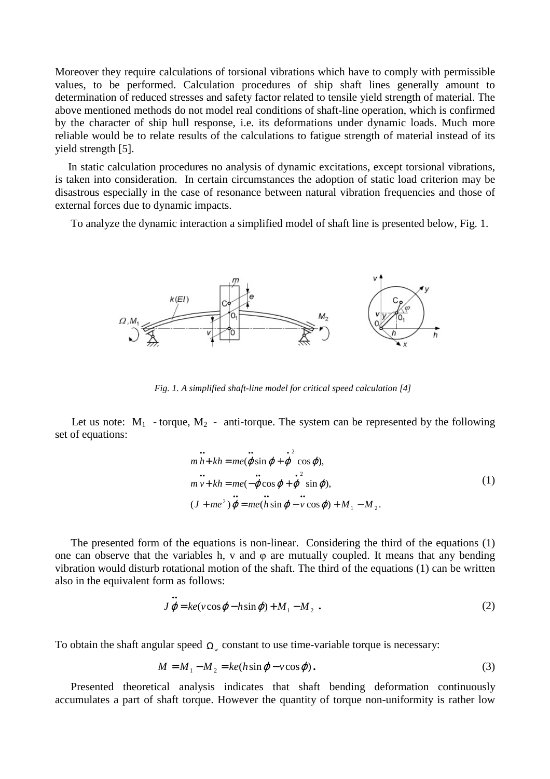Moreover they require calculations of torsional vibrations which have to comply with permissible values, to be performed. Calculation procedures of ship shaft lines generally amount to determination of reduced stresses and safety factor related to tensile yield strength of material. The above mentioned methods do not model real conditions of shaft-line operation, which is confirmed by the character of ship hull response, i.e. its deformations under dynamic loads. Much more reliable would be to relate results of the calculations to fatigue strength of material instead of its yield strength [5].

In static calculation procedures no analysis of dynamic excitations, except torsional vibrations, is taken into consideration. In certain circumstances the adoption of static load criterion may be disastrous especially in the case of resonance between natural vibration frequencies and those of external forces due to dynamic impacts.

To analyze the dynamic interaction a simplified model of shaft line is presented below, Fig. 1.



*Fig. 1. A simplified shaft-line model for critical speed calculation [4]* 

Let us note:  $M_1$  - torque,  $M_2$  - anti-torque. The system can be represented by the following set of equations:

$$
\begin{aligned}\n&m h + kh = me(\varphi \sin \varphi + \varphi^2 \cos \varphi),\n&m v + kh = me(-\varphi \cos \varphi + \varphi^2 \sin \varphi),\n&(J + me^2) \varphi = me(h \sin \varphi - v \cos \varphi) + M_1 - M_2.\n\end{aligned}
$$
\n(1)

The presented form of the equations is non-linear. Considering the third of the equations (1) one can observe that the variables h, v and  $\varphi$  are mutually coupled. It means that any bending vibration would disturb rotational motion of the shaft. The third of the equations (1) can be written also in the equivalent form as follows:

$$
J\,\varphi = ke(v\cos\varphi - h\sin\varphi) + M_1 - M_2 \tag{2}
$$

To obtain the shaft angular speed  $\Omega_{w}$  constant to use time-variable torque is necessary:

••

$$
M = M_1 - M_2 = ke(h\sin\varphi - v\cos\varphi). \tag{3}
$$

Presented theoretical analysis indicates that shaft bending deformation continuously accumulates a part of shaft torque. However the quantity of torque non-uniformity is rather low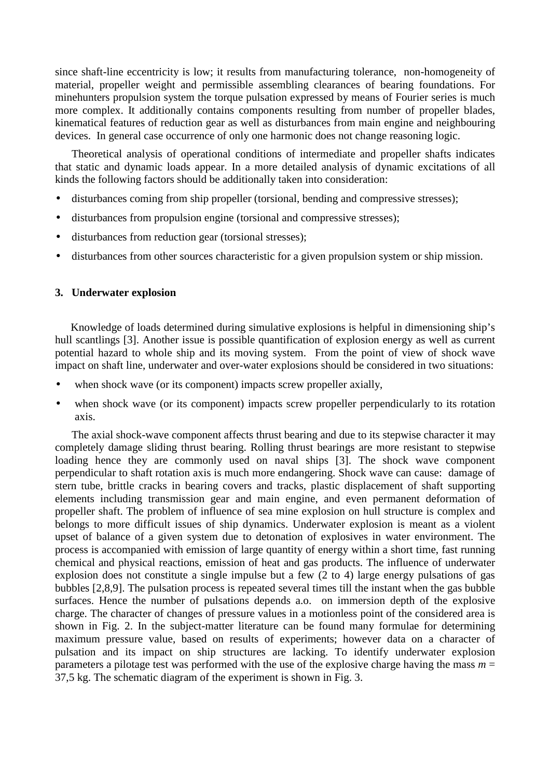since shaft-line eccentricity is low; it results from manufacturing tolerance, non-homogeneity of material, propeller weight and permissible assembling clearances of bearing foundations. For minehunters propulsion system the torque pulsation expressed by means of Fourier series is much more complex. It additionally contains components resulting from number of propeller blades, kinematical features of reduction gear as well as disturbances from main engine and neighbouring devices. In general case occurrence of only one harmonic does not change reasoning logic.

Theoretical analysis of operational conditions of intermediate and propeller shafts indicates that static and dynamic loads appear. In a more detailed analysis of dynamic excitations of all kinds the following factors should be additionally taken into consideration:

- disturbances coming from ship propeller (torsional, bending and compressive stresses);
- disturbances from propulsion engine (torsional and compressive stresses);
- disturbances from reduction gear (torsional stresses);
- disturbances from other sources characteristic for a given propulsion system or ship mission.

#### **3. Underwater explosion**

Knowledge of loads determined during simulative explosions is helpful in dimensioning ship's hull scantlings [3]. Another issue is possible quantification of explosion energy as well as current potential hazard to whole ship and its moving system. From the point of view of shock wave impact on shaft line, underwater and over-water explosions should be considered in two situations:

- when shock wave (or its component) impacts screw propeller axially,
- when shock wave (or its component) impacts screw propeller perpendicularly to its rotation axis.

The axial shock-wave component affects thrust bearing and due to its stepwise character it may completely damage sliding thrust bearing. Rolling thrust bearings are more resistant to stepwise loading hence they are commonly used on naval ships [3]. The shock wave component perpendicular to shaft rotation axis is much more endangering. Shock wave can cause: damage of stern tube, brittle cracks in bearing covers and tracks, plastic displacement of shaft supporting elements including transmission gear and main engine, and even permanent deformation of propeller shaft. The problem of influence of sea mine explosion on hull structure is complex and belongs to more difficult issues of ship dynamics. Underwater explosion is meant as a violent upset of balance of a given system due to detonation of explosives in water environment. The process is accompanied with emission of large quantity of energy within a short time, fast running chemical and physical reactions, emission of heat and gas products. The influence of underwater explosion does not constitute a single impulse but a few (2 to 4) large energy pulsations of gas bubbles [2,8,9]. The pulsation process is repeated several times till the instant when the gas bubble surfaces. Hence the number of pulsations depends a.o. on immersion depth of the explosive charge. The character of changes of pressure values in a motionless point of the considered area is shown in Fig. 2. In the subject-matter literature can be found many formulae for determining maximum pressure value, based on results of experiments; however data on a character of pulsation and its impact on ship structures are lacking. To identify underwater explosion parameters a pilotage test was performed with the use of the explosive charge having the mass  $m =$ 37,5 kg. The schematic diagram of the experiment is shown in Fig. 3.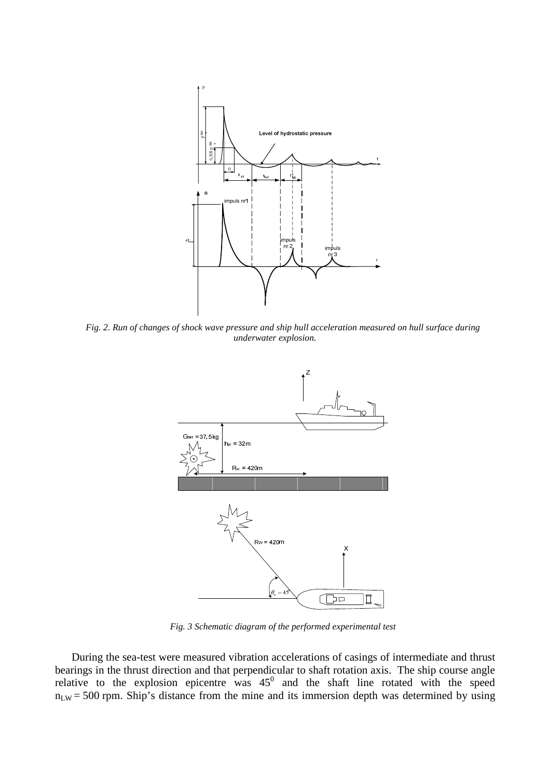

*Fig. 2. Run of changes of shock wave pressure and ship hull acceleration measured on hull surface during underwater explosion.* 



*Fig. 3 Schematic diagram of the performed experimental test* 

During the sea-test were measured vibration accelerations of casings of intermediate and thrust bearings in the thrust direction and that perpendicular to shaft rotation axis. The ship course angle relative to the explosion epicentre was  $45^{\circ}$  and the shaft line rotated with the speed  $n_{LW}$  = 500 rpm. Ship's distance from the mine and its immersion depth was determined by using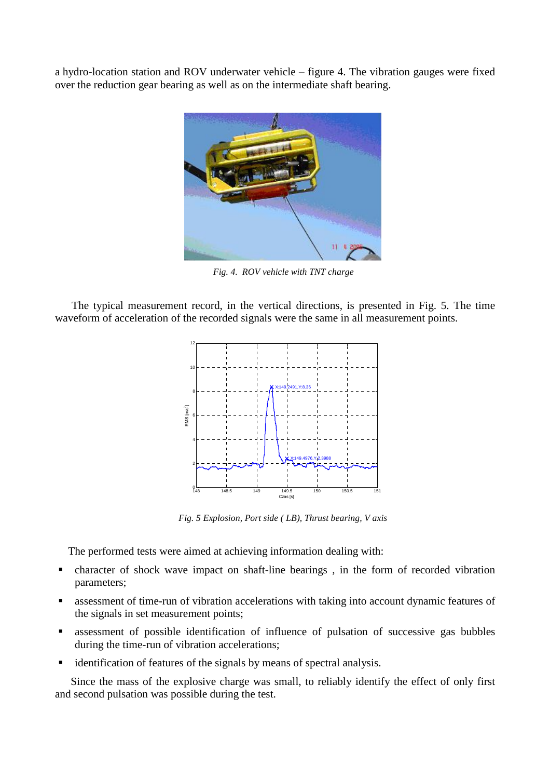a hydro-location station and ROV underwater vehicle – figure 4. The vibration gauges were fixed over the reduction gear bearing as well as on the intermediate shaft bearing.



*Fig. 4. ROV vehicle with TNT charge* 

The typical measurement record, in the vertical directions, is presented in Fig. 5. The time waveform of acceleration of the recorded signals were the same in all measurement points.



*Fig. 5 Explosion, Port side ( LB), Thrust bearing, V axis* 

The performed tests were aimed at achieving information dealing with:

- character of shock wave impact on shaft-line bearings , in the form of recorded vibration parameters;
- assessment of time-run of vibration accelerations with taking into account dynamic features of the signals in set measurement points;
- assessment of possible identification of influence of pulsation of successive gas bubbles during the time-run of vibration accelerations;
- identification of features of the signals by means of spectral analysis.

Since the mass of the explosive charge was small, to reliably identify the effect of only first and second pulsation was possible during the test.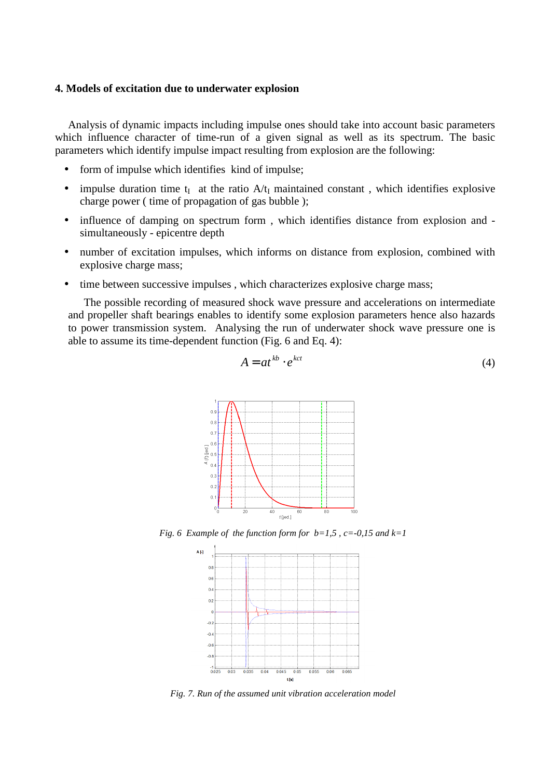## **4. Models of excitation due to underwater explosion**

Analysis of dynamic impacts including impulse ones should take into account basic parameters which influence character of time-run of a given signal as well as its spectrum. The basic parameters which identify impulse impact resulting from explosion are the following:

- form of impulse which identifies kind of impulse;
- impulse duration time  $t_I$  at the ratio  $A/t_I$  maintained constant, which identifies explosive charge power ( time of propagation of gas bubble );
- influence of damping on spectrum form, which identifies distance from explosion and simultaneously - epicentre depth
- number of excitation impulses, which informs on distance from explosion, combined with explosive charge mass;
- time between successive impulses, which characterizes explosive charge mass;

The possible recording of measured shock wave pressure and accelerations on intermediate and propeller shaft bearings enables to identify some explosion parameters hence also hazards to power transmission system. Analysing the run of underwater shock wave pressure one is able to assume its time-dependent function (Fig. 6 and Eq. 4):

$$
A = at^{kb} \cdot e^{kct} \tag{4}
$$



*Fig. 6 Example of the function form for b=1,5 , c=-0,15 and k=1* 



*Fig. 7. Run of the assumed unit vibration acceleration model*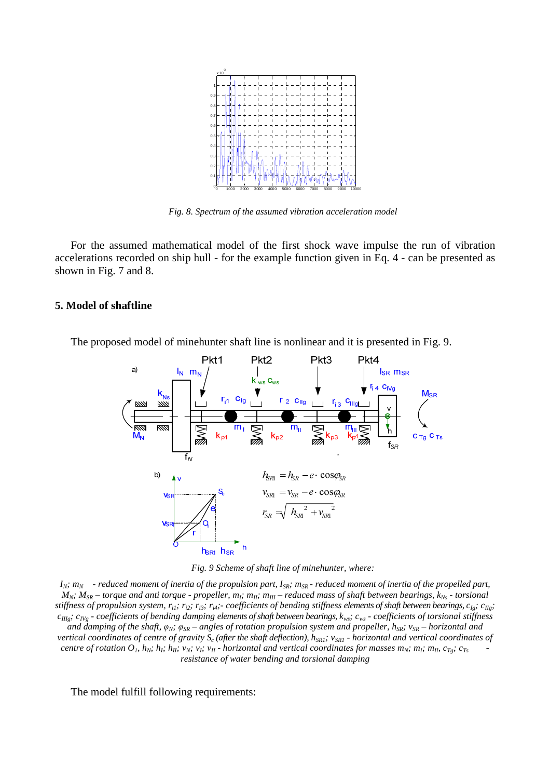

*Fig. 8. Spectrum of the assumed vibration acceleration model* 

For the assumed mathematical model of the first shock wave impulse the run of vibration accelerations recorded on ship hull - for the example function given in Eq. 4 - can be presented as shown in Fig. 7 and 8.

#### **5. Model of shaftline**

The proposed model of minehunter shaft line is nonlinear and it is presented in Fig. 9.





 $I_N$ *; m<sub>N</sub>* - reduced moment of inertia of the propulsion part,  $I_{SR}$ *; m<sub>SR</sub>* - reduced moment of inertia of the propelled part,  $M_N$ *;*  $M_{SR}$  – torque and anti torque - propeller,  $m_l$ ;  $m_{ll}$ *;*  $m_{ll}$  – reduced mass of shaft between bearings,  $k_{Ns}$  - torsional stiffness of propulsion system,  $r_{i1}$ ;  $r_{i2}$ ;  $r_{i3}$ ;  $r_{i4}$ ;-coefficients of bending stiffness elements of shaft between bearings,  $c_{Ig}$ ;  $c_{IIg}$ ; *cIIIg; cIVg - coefficients of bending damping elements of shaft between bearings, kws; cws - coefficients of torsional stiffness* 

*and damping of the shaft,* φ*N;* φ*SR – angles of rotation propulsion system and propeller, hSR; vSR – horizontal and vertical coordinates of centre of gravity*  $S_c$  (after the shaft deflection),  $h_{SRI}$ ;  $v_{SRI}$  - horizontal and vertical coordinates of centre of rotation  $O_1$ ,  $h_N$ ;  $h_{I}$ ;  $h_{I}$ ;  $v_N$ ;  $v_{I}$ ;  $v_{II}$  - horizontal and vertical coordinates for masses  $m_N$ ;  $m_I$ ;  $m_{I}$ ,  $c_{T_S}$ ;  $c_{T_S}$ *resistance of water bending and torsional damping*

The model fulfill following requirements: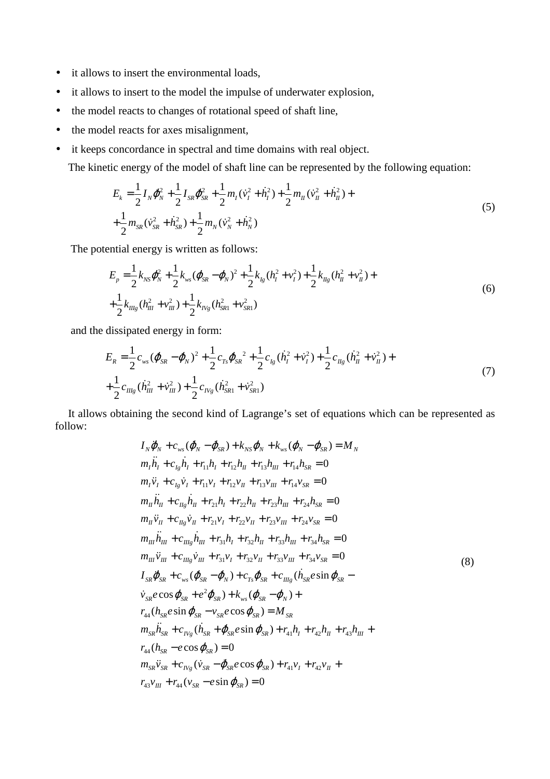- it allows to insert the environmental loads,
- it allows to insert to the model the impulse of underwater explosion,
- the model reacts to changes of rotational speed of shaft line,
- the model reacts for axes misalignment,
- it keeps concordance in spectral and time domains with real object.

The kinetic energy of the model of shaft line can be represented by the following equation:

$$
E_{k} = \frac{1}{2} I_{N} \dot{\phi}_{N}^{2} + \frac{1}{2} I_{SR} \dot{\phi}_{SR}^{2} + \frac{1}{2} m_{I} (\dot{v}_{I}^{2} + \dot{h}_{I}^{2}) + \frac{1}{2} m_{II} (\dot{v}_{II}^{2} + \dot{h}_{II}^{2}) +
$$
  
+ 
$$
\frac{1}{2} m_{SR} (\dot{v}_{SR}^{2} + \dot{h}_{SR}^{2}) + \frac{1}{2} m_{N} (\dot{v}_{N}^{2} + \dot{h}_{N}^{2})
$$
(5)

The potential energy is written as follows:

$$
E_p = \frac{1}{2} k_{NS} \phi_N^2 + \frac{1}{2} k_{ws} (\phi_{SR} - \phi_N)^2 + \frac{1}{2} k_{lg} (h_l^2 + v_l^2) + \frac{1}{2} k_{lg} (h_u^2 + v_l^2) +
$$
  
+ 
$$
\frac{1}{2} k_{llg} (h_{ll}^2 + v_{ll}^2) + \frac{1}{2} k_{Ng} (h_{SR1}^2 + v_{SR1}^2)
$$
 (6)

and the dissipated energy in form:

$$
E_R = \frac{1}{2} c_{ws} (\dot{\phi}_{SR} - \dot{\phi}_N)^2 + \frac{1}{2} c_{Ts} \dot{\phi}_{SR}^2 + \frac{1}{2} c_{lg} (\dot{h}_l^2 + \dot{v}_l^2) + \frac{1}{2} c_{lg} (\dot{h}_l^2 + \dot{v}_l^2) +
$$
  
+ 
$$
\frac{1}{2} c_{llg} (\dot{h}_{ll}^2 + \dot{v}_{ll}^2) + \frac{1}{2} c_{lvg} (\dot{h}_{SR1}^2 + \dot{v}_{SR1}^2)
$$
(7)

It allows obtaining the second kind of Lagrange's set of equations which can be represented as follow:

$$
I_{N} \ddot{\varphi}_{N} + c_{ws} (\dot{\varphi}_{N} - \dot{\varphi}_{SR}) + k_{NS} \varphi_{N} + k_{ws} (\varphi_{N} - \varphi_{SR}) = M_{N}
$$
  
\n
$$
m_{1} \ddot{h}_{1} + c_{1g} \dot{h}_{1} + r_{11}h_{1} + r_{12}h_{11} + r_{13}h_{11} + r_{14}h_{SR} = 0
$$
  
\n
$$
m_{1} \ddot{v}_{1} + c_{1g} \dot{v}_{1} + r_{11}v_{1} + r_{12}v_{11} + r_{13}v_{11} + r_{14}v_{SR} = 0
$$
  
\n
$$
m_{1} \ddot{h}_{11} + c_{11} \dot{v}_{11} + r_{21}h_{1} + r_{22}h_{11} + r_{23}h_{11} + r_{24}h_{SR} = 0
$$
  
\n
$$
m_{1} \ddot{v}_{11} + c_{11} \dot{v}_{11} + r_{21}v_{1} + r_{22}v_{11} + r_{23}v_{11} + r_{24}v_{SR} = 0
$$
  
\n
$$
m_{1} \ddot{v}_{11} + c_{11} \dot{v}_{11} + r_{31}v_{1} + r_{32}h_{11} + r_{33}h_{11} + r_{34}h_{SR} = 0
$$
  
\n
$$
m_{11} \ddot{v}_{11} + c_{11} \dot{v}_{11} + r_{31}v_{1} + r_{32}v_{11} + r_{33}v_{11} + r_{34}v_{SR} = 0
$$
  
\n
$$
I_{SR} \ddot{\varphi}_{SR} + c_{ws} (\dot{\varphi}_{SR} - \dot{\varphi}_{N}) + c_{rs} \dot{\varphi}_{SR} + c_{t1} \dot{v}_{SR} (\dot{h}_{SR} e \sin \varphi_{SR} - \dot{v}_{SR} e \cos \varphi_{SR} + e^{2} \dot{\varphi}_{SR}) + k_{ws} (\varphi_{SR} - \varphi_{N}) +
$$
  
\n
$$
r_{44} (h_{SR} e \sin \varphi_{SR} - v_{SR} e \cos \varphi_{SR}) = M_{SR}
$$
<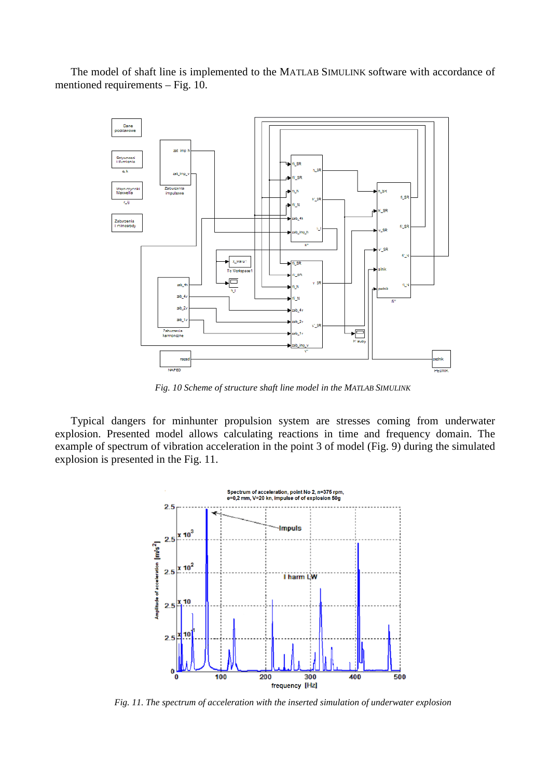The model of shaft line is implemented to the MATLAB SIMULINK software with accordance of mentioned requirements – Fig. 10.



*Fig. 10 Scheme of structure shaft line model in the MATLAB SIMULINK* 

Typical dangers for minhunter propulsion system are stresses coming from underwater explosion. Presented model allows calculating reactions in time and frequency domain. The example of spectrum of vibration acceleration in the point 3 of model (Fig. 9) during the simulated explosion is presented in the Fig. 11.



*Fig. 11. The spectrum of acceleration with the inserted simulation of underwater explosion*